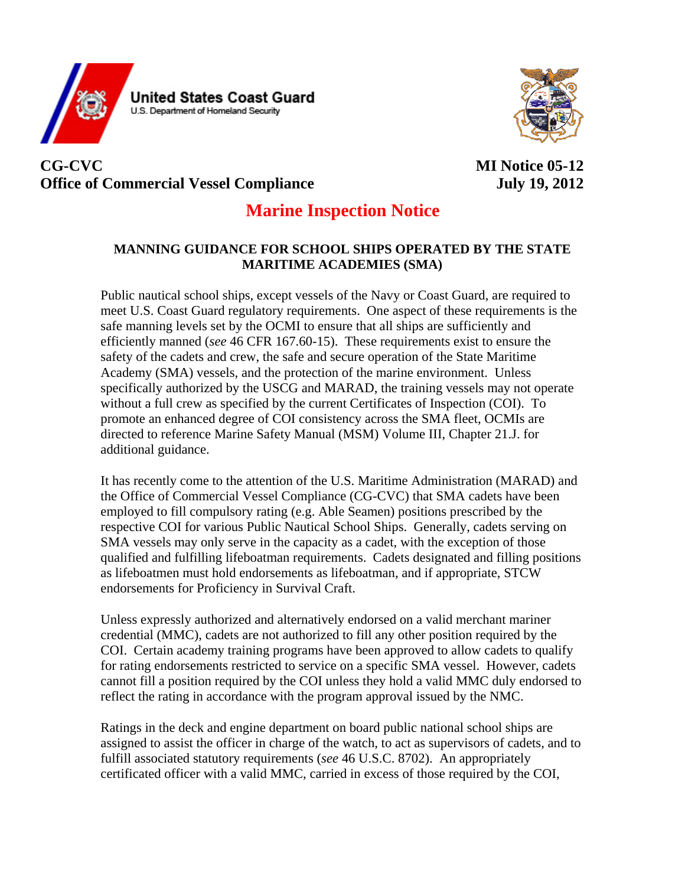



## **CG-CVC MI Notice 05-12 Office of Commercial Vessel Compliance** July 19, 2012

## **Marine Inspection Notice**

## **MANNING GUIDANCE FOR SCHOOL SHIPS OPERATED BY THE STATE MARITIME ACADEMIES (SMA)**

Public nautical school ships, except vessels of the Navy or Coast Guard, are required to meet U.S. Coast Guard regulatory requirements. One aspect of these requirements is the safe manning levels set by the OCMI to ensure that all ships are sufficiently and efficiently manned (*see* 46 CFR 167.60-15). These requirements exist to ensure the safety of the cadets and crew, the safe and secure operation of the State Maritime Academy (SMA) vessels, and the protection of the marine environment. Unless specifically authorized by the USCG and MARAD, the training vessels may not operate without a full crew as specified by the current Certificates of Inspection (COI). To promote an enhanced degree of COI consistency across the SMA fleet, OCMIs are directed to reference Marine Safety Manual (MSM) Volume III, Chapter 21.J. for additional guidance.

It has recently come to the attention of the U.S. Maritime Administration (MARAD) and the Office of Commercial Vessel Compliance (CG-CVC) that SMA cadets have been employed to fill compulsory rating (e.g. Able Seamen) positions prescribed by the respective COI for various Public Nautical School Ships. Generally, cadets serving on SMA vessels may only serve in the capacity as a cadet, with the exception of those qualified and fulfilling lifeboatman requirements. Cadets designated and filling positions as lifeboatmen must hold endorsements as lifeboatman, and if appropriate, STCW endorsements for Proficiency in Survival Craft.

Unless expressly authorized and alternatively endorsed on a valid merchant mariner credential (MMC), cadets are not authorized to fill any other position required by the COI. Certain academy training programs have been approved to allow cadets to qualify for rating endorsements restricted to service on a specific SMA vessel. However, cadets cannot fill a position required by the COI unless they hold a valid MMC duly endorsed to reflect the rating in accordance with the program approval issued by the NMC.

Ratings in the deck and engine department on board public national school ships are assigned to assist the officer in charge of the watch, to act as supervisors of cadets, and to fulfill associated statutory requirements (*see* 46 U.S.C. 8702). An appropriately certificated officer with a valid MMC, carried in excess of those required by the COI,